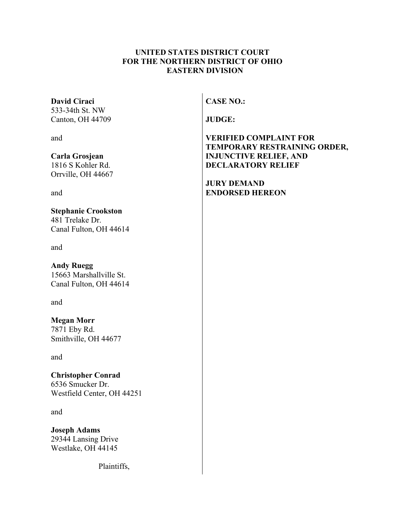## **UNITED STATES DISTRICT COURT FOR THE NORTHERN DISTRICT OF OHIO EASTERN DIVISION**

### **David Ciraci**

533-34th St. NW Canton, OH 44709

and

**Carla Grosjean**

1816 S Kohler Rd. Orrville, OH 44667

and

## **Stephanie Crookston**

481 Trelake Dr. Canal Fulton, OH 44614

and

# **Andy Ruegg**

15663 Marshallville St. Canal Fulton, OH 44614

and

### **Megan Morr** 7871 Eby Rd. Smithville, OH 44677

and

# **Christopher Conrad** 6536 Smucker Dr. Westfield Center, OH 44251

and

**Joseph Adams** 29344 Lansing Drive Westlake, OH 44145

Plaintiffs,

**CASE NO.:**

**JUDGE:**

**VERIFIED COMPLAINT FOR TEMPORARY RESTRAINING ORDER, INJUNCTIVE RELIEF, AND DECLARATORY RELIEF**

**JURY DEMAND ENDORSED HEREON**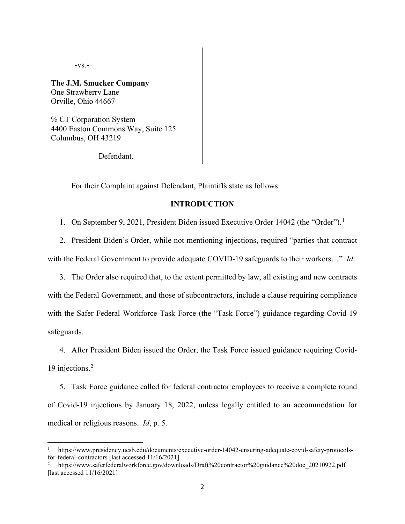-vs.-

**The J.M. Smucker Company**  One Strawberry Lane Orville, Ohio 44667

℅ CT Corporation System 4400 Easton Commons Way, Suite 125 Columbus, OH 43219

Defendant.

For their Complaint against Defendant, Plaintiffs state as follows:

### **INTRODUCTION**

[1](#page-1-0). On September 9, 2021, President Biden issued Executive Order 14042 (the "Order").<sup>1</sup>

- 2. President Biden's Order, while not mentioning injections, required "parties that contract with the Federal Government to provide adequate COVID-19 safeguards to their workers…" *Id*.
- 3. The Order also required that, to the extent permitted by law, all existing and new contracts with the Federal Government, and those of subcontractors, include a clause requiring compliance with the Safer Federal Workforce Task Force (the "Task Force") guidance regarding Covid-19 safeguards.

4. After President Biden issued the Order, the Task Force issued guidance requiring Covid-19 injections. [2](#page-1-1)

5. Task Force guidance called for federal contractor employees to receive a complete round of Covid-19 injections by January 18, 2022, unless legally entitled to an accommodation for medical or religious reasons. *Id*, p. 5.

<span id="page-1-0"></span><sup>1</sup> https://www.presidency.ucsb.edu/documents/executive-order-14042-ensuring-adequate-covid-safety-protocolsfor-federal-contractors [last accessed 11/16/2021]

<span id="page-1-1"></span><sup>2</sup> https://www.saferfederalworkforce.gov/downloads/Draft%20contractor%20guidance%20doc\_20210922.pdf [last accessed 11/16/2021]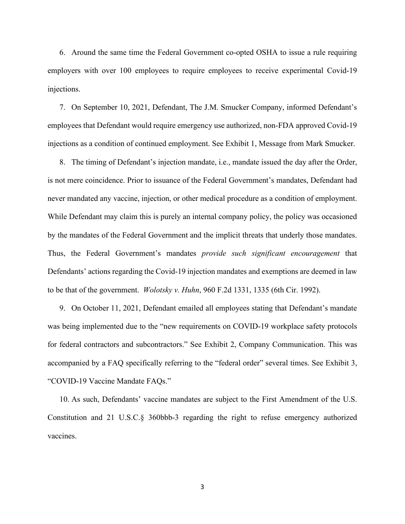6. Around the same time the Federal Government co-opted OSHA to issue a rule requiring employers with over 100 employees to require employees to receive experimental Covid-19 injections.

7. On September 10, 2021, Defendant, The J.M. Smucker Company, informed Defendant's employees that Defendant would require emergency use authorized, non-FDA approved Covid-19 injections as a condition of continued employment. See Exhibit 1, Message from Mark Smucker.

8. The timing of Defendant's injection mandate, i.e., mandate issued the day after the Order, is not mere coincidence. Prior to issuance of the Federal Government's mandates, Defendant had never mandated any vaccine, injection, or other medical procedure as a condition of employment. While Defendant may claim this is purely an internal company policy, the policy was occasioned by the mandates of the Federal Government and the implicit threats that underly those mandates. Thus, the Federal Government's mandates *provide such significant encouragement* that Defendants' actions regarding the Covid-19 injection mandates and exemptions are deemed in law to be that of the government. *Wolotsky v. Huhn*, 960 F.2d 1331, 1335 (6th Cir. 1992).

9. On October 11, 2021, Defendant emailed all employees stating that Defendant's mandate was being implemented due to the "new requirements on COVID-19 workplace safety protocols for federal contractors and subcontractors." See Exhibit 2, Company Communication. This was accompanied by a FAQ specifically referring to the "federal order" several times. See Exhibit 3, "COVID-19 Vaccine Mandate FAQs."

10. As such, Defendants' vaccine mandates are subject to the First Amendment of the U.S. Constitution and 21 U.S.C.§ 360bbb-3 regarding the right to refuse emergency authorized vaccines.

3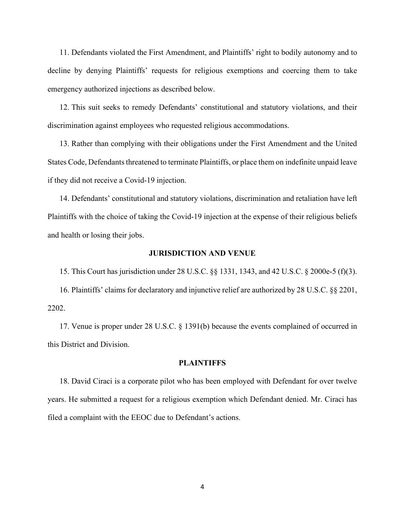11. Defendants violated the First Amendment, and Plaintiffs' right to bodily autonomy and to decline by denying Plaintiffs' requests for religious exemptions and coercing them to take emergency authorized injections as described below.

12. This suit seeks to remedy Defendants' constitutional and statutory violations, and their discrimination against employees who requested religious accommodations.

13. Rather than complying with their obligations under the First Amendment and the United States Code, Defendants threatened to terminate Plaintiffs, or place them on indefinite unpaid leave if they did not receive a Covid-19 injection.

14. Defendants' constitutional and statutory violations, discrimination and retaliation have left Plaintiffs with the choice of taking the Covid-19 injection at the expense of their religious beliefs and health or losing their jobs.

#### **JURISDICTION AND VENUE**

15. This Court has jurisdiction under 28 U.S.C. §§ 1331, 1343, and 42 U.S.C. § 2000e-5 (f)(3).

16. Plaintiffs' claims for declaratory and injunctive relief are authorized by 28 U.S.C. §§ 2201, 2202.

17. Venue is proper under 28 U.S.C. § 1391(b) because the events complained of occurred in this District and Division.

#### **PLAINTIFFS**

18. David Ciraci is a corporate pilot who has been employed with Defendant for over twelve years. He submitted a request for a religious exemption which Defendant denied. Mr. Ciraci has filed a complaint with the EEOC due to Defendant's actions.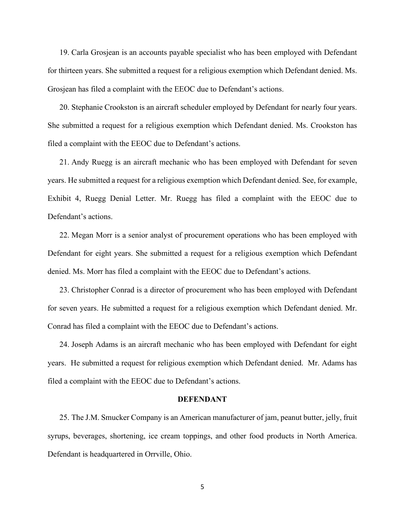19. Carla Grosjean is an accounts payable specialist who has been employed with Defendant for thirteen years. She submitted a request for a religious exemption which Defendant denied. Ms. Grosjean has filed a complaint with the EEOC due to Defendant's actions.

20. Stephanie Crookston is an aircraft scheduler employed by Defendant for nearly four years. She submitted a request for a religious exemption which Defendant denied. Ms. Crookston has filed a complaint with the EEOC due to Defendant's actions.

21. Andy Ruegg is an aircraft mechanic who has been employed with Defendant for seven years. He submitted a request for a religious exemption which Defendant denied. See, for example, Exhibit 4, Ruegg Denial Letter. Mr. Ruegg has filed a complaint with the EEOC due to Defendant's actions.

22. Megan Morr is a senior analyst of procurement operations who has been employed with Defendant for eight years. She submitted a request for a religious exemption which Defendant denied. Ms. Morr has filed a complaint with the EEOC due to Defendant's actions.

23. Christopher Conrad is a director of procurement who has been employed with Defendant for seven years. He submitted a request for a religious exemption which Defendant denied. Mr. Conrad has filed a complaint with the EEOC due to Defendant's actions.

24. Joseph Adams is an aircraft mechanic who has been employed with Defendant for eight years. He submitted a request for religious exemption which Defendant denied. Mr. Adams has filed a complaint with the EEOC due to Defendant's actions.

#### **DEFENDANT**

25. The J.M. Smucker Company is an American manufacturer of jam, peanut butter, jelly, fruit syrups, beverages, shortening, ice cream toppings, and other food products in North America. Defendant is headquartered in Orrville, Ohio.

5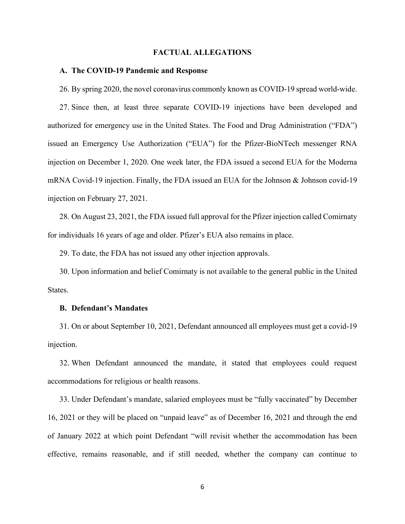#### **FACTUAL ALLEGATIONS**

#### **A. The COVID-19 Pandemic and Response**

26. By spring 2020, the novel coronavirus commonly known as COVID-19 spread world-wide.

27. Since then, at least three separate COVID-19 injections have been developed and authorized for emergency use in the United States. The Food and Drug Administration ("FDA") issued an Emergency Use Authorization ("EUA") for the Pfizer-BioNTech messenger RNA injection on December 1, 2020. One week later, the FDA issued a second EUA for the Moderna mRNA Covid-19 injection. Finally, the FDA issued an EUA for the Johnson & Johnson covid-19 injection on February 27, 2021.

28. On August 23, 2021, the FDA issued full approval for the Pfizer injection called Comirnaty for individuals 16 years of age and older. Pfizer's EUA also remains in place.

29. To date, the FDA has not issued any other injection approvals.

30. Upon information and belief Comirnaty is not available to the general public in the United States.

#### **B. Defendant's Mandates**

31. On or about September 10, 2021, Defendant announced all employees must get a covid-19 injection.

32. When Defendant announced the mandate, it stated that employees could request accommodations for religious or health reasons.

33. Under Defendant's mandate, salaried employees must be "fully vaccinated" by December 16, 2021 or they will be placed on "unpaid leave" as of December 16, 2021 and through the end of January 2022 at which point Defendant "will revisit whether the accommodation has been effective, remains reasonable, and if still needed, whether the company can continue to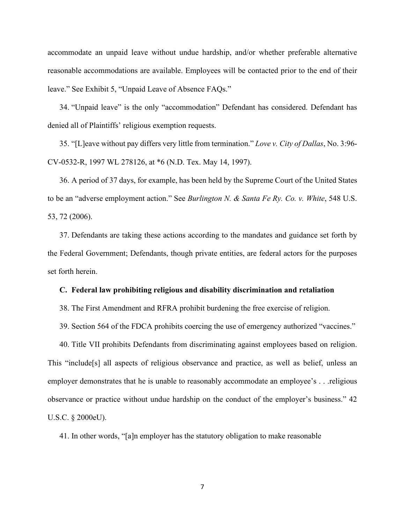accommodate an unpaid leave without undue hardship, and/or whether preferable alternative reasonable accommodations are available. Employees will be contacted prior to the end of their leave." See Exhibit 5, "Unpaid Leave of Absence FAQs."

34. "Unpaid leave" is the only "accommodation" Defendant has considered. Defendant has denied all of Plaintiffs' religious exemption requests.

35. "[L]eave without pay differs very little from termination." *Love v. City of Dallas*, No. 3:96- CV-0532-R, 1997 WL 278126, at \*6 (N.D. Tex. May 14, 1997).

36. A period of 37 days, for example, has been held by the Supreme Court of the United States to be an "adverse employment action." See *Burlington N. & Santa Fe Ry. Co. v. White*, 548 U.S. 53, 72 (2006).

37. Defendants are taking these actions according to the mandates and guidance set forth by the Federal Government; Defendants, though private entities, are federal actors for the purposes set forth herein.

#### **C. Federal law prohibiting religious and disability discrimination and retaliation**

38. The First Amendment and RFRA prohibit burdening the free exercise of religion.

39. Section 564 of the FDCA prohibits coercing the use of emergency authorized "vaccines."

40. Title VII prohibits Defendants from discriminating against employees based on religion. This "include[s] all aspects of religious observance and practice, as well as belief, unless an employer demonstrates that he is unable to reasonably accommodate an employee's . . .religious observance or practice without undue hardship on the conduct of the employer's business." 42 U.S.C. § 2000eU).

41. In other words, "[a]n employer has the statutory obligation to make reasonable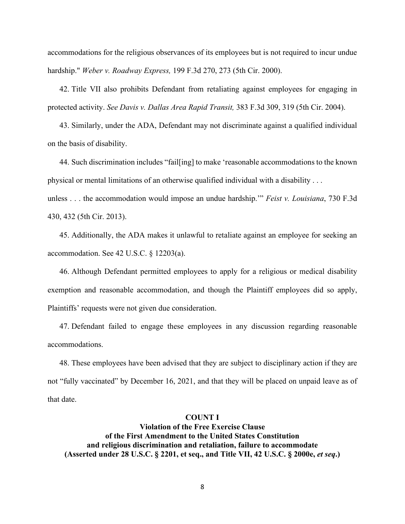accommodations for the religious observances of its employees but is not required to incur undue hardship." *Weber v. Roadway Express,* 199 F.3d 270, 273 (5th Cir. 2000).

42. Title VII also prohibits Defendant from retaliating against employees for engaging in protected activity. *See Davis v. Dallas Area Rapid Transit,* 383 F.3d 309, 319 (5th Cir. 2004).

43. Similarly, under the ADA, Defendant may not discriminate against a qualified individual on the basis of disability.

44. Such discrimination includes "fail[ing] to make 'reasonable accommodations to the known physical or mental limitations of an otherwise qualified individual with a disability . . .

unless . . . the accommodation would impose an undue hardship.'" *Feist v. Louisiana*, 730 F.3d 430, 432 (5th Cir. 2013).

45. Additionally, the ADA makes it unlawful to retaliate against an employee for seeking an accommodation. See 42 U.S.C. § 12203(a).

46. Although Defendant permitted employees to apply for a religious or medical disability exemption and reasonable accommodation, and though the Plaintiff employees did so apply, Plaintiffs' requests were not given due consideration.

47. Defendant failed to engage these employees in any discussion regarding reasonable accommodations.

48. These employees have been advised that they are subject to disciplinary action if they are not "fully vaccinated" by December 16, 2021, and that they will be placed on unpaid leave as of that date.

#### **COUNT I**

**Violation of the Free Exercise Clause of the First Amendment to the United States Constitution and religious discrimination and retaliation, failure to accommodate (Asserted under 28 U.S.C. § 2201, et seq., and Title VII, 42 U.S.C. § 2000e,** *et seq***.)**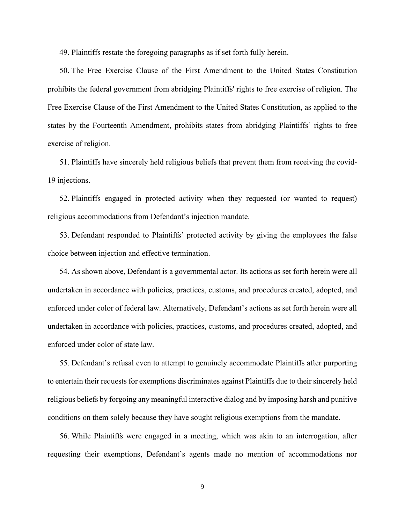49. Plaintiffs restate the foregoing paragraphs as if set forth fully herein.

50. The Free Exercise Clause of the First Amendment to the United States Constitution prohibits the federal government from abridging Plaintiffs' rights to free exercise of religion. The Free Exercise Clause of the First Amendment to the United States Constitution, as applied to the states by the Fourteenth Amendment, prohibits states from abridging Plaintiffs' rights to free exercise of religion.

51. Plaintiffs have sincerely held religious beliefs that prevent them from receiving the covid-19 injections.

52. Plaintiffs engaged in protected activity when they requested (or wanted to request) religious accommodations from Defendant's injection mandate.

53. Defendant responded to Plaintiffs' protected activity by giving the employees the false choice between injection and effective termination.

54. As shown above, Defendant is a governmental actor. Its actions as set forth herein were all undertaken in accordance with policies, practices, customs, and procedures created, adopted, and enforced under color of federal law. Alternatively, Defendant's actions as set forth herein were all undertaken in accordance with policies, practices, customs, and procedures created, adopted, and enforced under color of state law.

55. Defendant's refusal even to attempt to genuinely accommodate Plaintiffs after purporting to entertain their requests for exemptions discriminates against Plaintiffs due to their sincerely held religious beliefs by forgoing any meaningful interactive dialog and by imposing harsh and punitive conditions on them solely because they have sought religious exemptions from the mandate.

56. While Plaintiffs were engaged in a meeting, which was akin to an interrogation, after requesting their exemptions, Defendant's agents made no mention of accommodations nor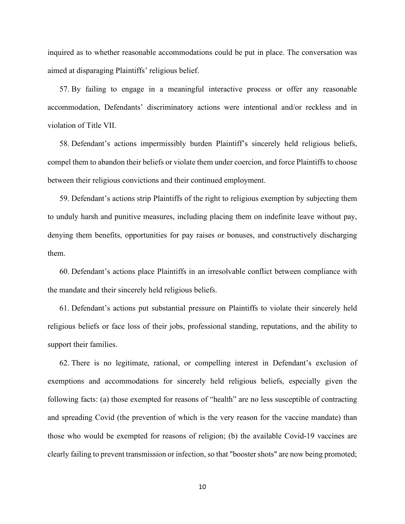inquired as to whether reasonable accommodations could be put in place. The conversation was aimed at disparaging Plaintiffs' religious belief.

57. By failing to engage in a meaningful interactive process or offer any reasonable accommodation, Defendants' discriminatory actions were intentional and/or reckless and in violation of Title VII.

58. Defendant's actions impermissibly burden Plaintiff's sincerely held religious beliefs, compel them to abandon their beliefs or violate them under coercion, and force Plaintiffs to choose between their religious convictions and their continued employment.

59. Defendant's actions strip Plaintiffs of the right to religious exemption by subjecting them to unduly harsh and punitive measures, including placing them on indefinite leave without pay, denying them benefits, opportunities for pay raises or bonuses, and constructively discharging them.

60. Defendant's actions place Plaintiffs in an irresolvable conflict between compliance with the mandate and their sincerely held religious beliefs.

61. Defendant's actions put substantial pressure on Plaintiffs to violate their sincerely held religious beliefs or face loss of their jobs, professional standing, reputations, and the ability to support their families.

62. There is no legitimate, rational, or compelling interest in Defendant's exclusion of exemptions and accommodations for sincerely held religious beliefs, especially given the following facts: (a) those exempted for reasons of "health" are no less susceptible of contracting and spreading Covid (the prevention of which is the very reason for the vaccine mandate) than those who would be exempted for reasons of religion; (b) the available Covid-19 vaccines are clearly failing to prevent transmission or infection, so that "booster shots" are now being promoted;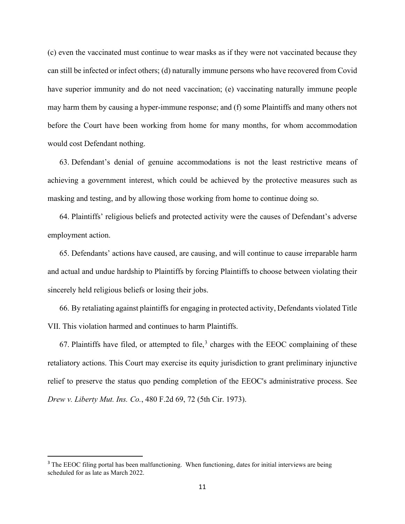(c) even the vaccinated must continue to wear masks as if they were not vaccinated because they can still be infected or infect others; (d) naturally immune persons who have recovered from Covid have superior immunity and do not need vaccination; (e) vaccinating naturally immune people may harm them by causing a hyper-immune response; and (f) some Plaintiffs and many others not before the Court have been working from home for many months, for whom accommodation would cost Defendant nothing.

63. Defendant's denial of genuine accommodations is not the least restrictive means of achieving a government interest, which could be achieved by the protective measures such as masking and testing, and by allowing those working from home to continue doing so.

64. Plaintiffs' religious beliefs and protected activity were the causes of Defendant's adverse employment action.

65. Defendants' actions have caused, are causing, and will continue to cause irreparable harm and actual and undue hardship to Plaintiffs by forcing Plaintiffs to choose between violating their sincerely held religious beliefs or losing their jobs.

66. By retaliating against plaintiffs for engaging in protected activity, Defendants violated Title VII. This violation harmed and continues to harm Plaintiffs.

67. Plaintiffs have filed, or attempted to file,<sup>[3](#page-10-0)</sup> charges with the EEOC complaining of these retaliatory actions. This Court may exercise its equity jurisdiction to grant preliminary injunctive relief to preserve the status quo pending completion of the EEOC's administrative process. See *Drew v. Liberty Mut. Ins. Co.*, 480 F.2d 69, 72 (5th Cir. 1973).

<span id="page-10-0"></span><sup>&</sup>lt;sup>3</sup> The EEOC filing portal has been malfunctioning. When functioning, dates for initial interviews are being scheduled for as late as March 2022.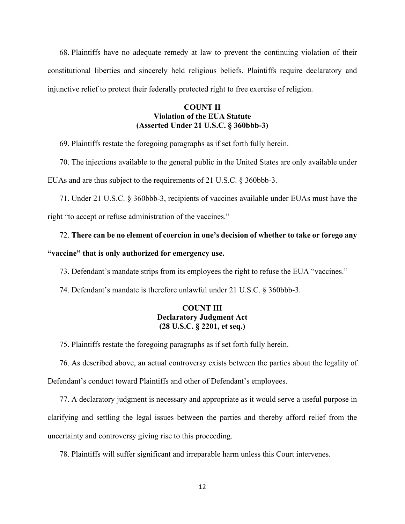68. Plaintiffs have no adequate remedy at law to prevent the continuing violation of their constitutional liberties and sincerely held religious beliefs. Plaintiffs require declaratory and injunctive relief to protect their federally protected right to free exercise of religion.

### **COUNT II Violation of the EUA Statute (Asserted Under 21 U.S.C. § 360bbb-3)**

69. Plaintiffs restate the foregoing paragraphs as if set forth fully herein.

70. The injections available to the general public in the United States are only available under EUAs and are thus subject to the requirements of 21 U.S.C. § 360bbb-3.

71. Under 21 U.S.C. § 360bbb-3, recipients of vaccines available under EUAs must have the right "to accept or refuse administration of the vaccines."

# 72. **There can be no element of coercion in one's decision of whether to take or forego any**

### **"vaccine" that is only authorized for emergency use.**

73. Defendant's mandate strips from its employees the right to refuse the EUA "vaccines."

74. Defendant's mandate is therefore unlawful under 21 U.S.C. § 360bbb-3.

### **COUNT III Declaratory Judgment Act (28 U.S.C. § 2201, et seq.)**

75. Plaintiffs restate the foregoing paragraphs as if set forth fully herein.

76. As described above, an actual controversy exists between the parties about the legality of Defendant's conduct toward Plaintiffs and other of Defendant's employees.

77. A declaratory judgment is necessary and appropriate as it would serve a useful purpose in clarifying and settling the legal issues between the parties and thereby afford relief from the uncertainty and controversy giving rise to this proceeding.

78. Plaintiffs will suffer significant and irreparable harm unless this Court intervenes.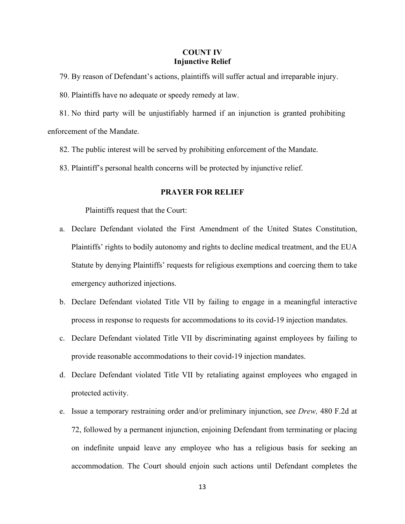### **COUNT IV Injunctive Relief**

- 79. By reason of Defendant's actions, plaintiffs will suffer actual and irreparable injury.
- 80. Plaintiffs have no adequate or speedy remedy at law.

81. No third party will be unjustifiably harmed if an injunction is granted prohibiting enforcement of the Mandate.

- 82. The public interest will be served by prohibiting enforcement of the Mandate.
- 83. Plaintiff's personal health concerns will be protected by injunctive relief.

#### **PRAYER FOR RELIEF**

Plaintiffs request that the Court:

- a. Declare Defendant violated the First Amendment of the United States Constitution, Plaintiffs' rights to bodily autonomy and rights to decline medical treatment, and the EUA Statute by denying Plaintiffs' requests for religious exemptions and coercing them to take emergency authorized injections.
- b. Declare Defendant violated Title VII by failing to engage in a meaningful interactive process in response to requests for accommodations to its covid-19 injection mandates.
- c. Declare Defendant violated Title VII by discriminating against employees by failing to provide reasonable accommodations to their covid-19 injection mandates.
- d. Declare Defendant violated Title VII by retaliating against employees who engaged in protected activity.
- e. Issue a temporary restraining order and/or preliminary injunction, see *Drew,* 480 F.2d at 72, followed by a permanent injunction, enjoining Defendant from terminating or placing on indefinite unpaid leave any employee who has a religious basis for seeking an accommodation. The Court should enjoin such actions until Defendant completes the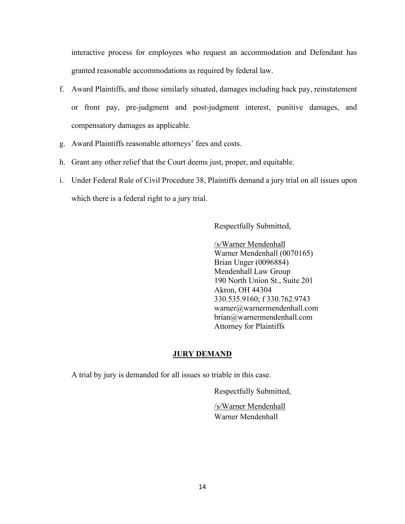interactive process for employees who request an accommodation and Defendant has granted reasonable accommodations as required by federal law.

- f. Award Plaintiffs, and those similarly situated, damages including back pay, reinstatement or front pay, pre-judgment and post-judgment interest, punitive damages, and compensatory damages as applicable.
- g. Award Plaintiffs reasonable attorneys' fees and costs.
- h. Grant any other relief that the Court deems just, proper, and equitable.
- i. Under Federal Rule of Civil Procedure 38, Plaintiffs demand a jury trial on all issues upon which there is a federal right to a jury trial.

Respectfully Submitted,

/s/Warner Mendenhall Warner Mendenhall (0070165) Brian Unger (0096884) Mendenhall Law Group 190 North Union St., Suite 201 Akron, OH 44304 330.535.9160; f 330.762.9743 warner@warnermendenhall.com brian@warnermendenhall.com Attorney for Plaintiffs

### **JURY DEMAND**

A trial by jury is demanded for all issues so triable in this case.

Respectfully Submitted,

 /s/Warner Mendenhall Warner Mendenhall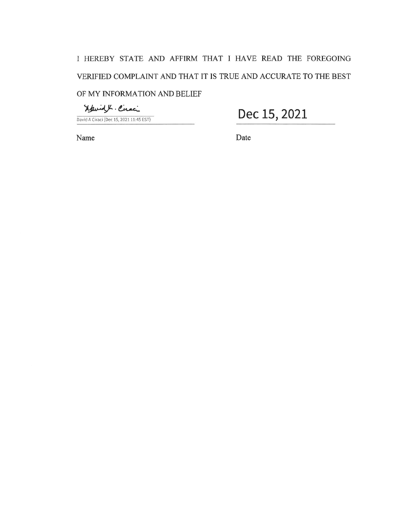Navidy Ciraci

David A Ciraci (Dec 15, 2021 11:45 EST)

Dec 15, 2021

Name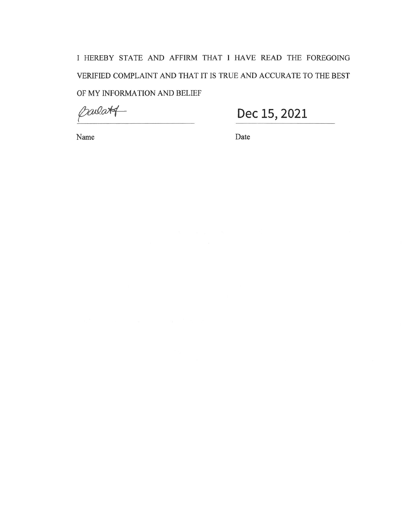parlatt

Dec 15, 2021

Name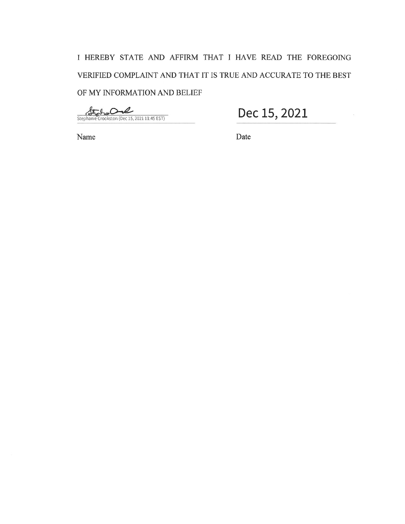State  $\sim$ l Stephanie Crookston (Dec 15, 2021 11:45 EST)

Name

Dec 15, 2021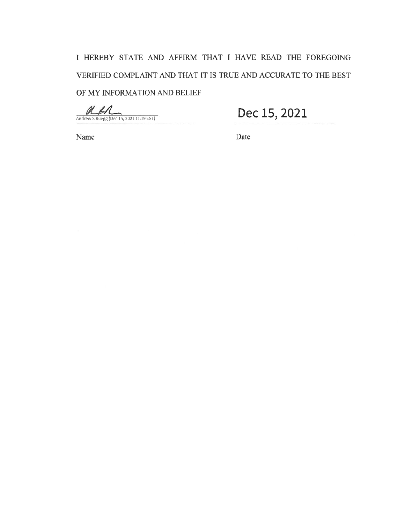ash Andrew S Ruegg (Dec 15, 2021 11:19 EST)

Dec 15, 2021

Name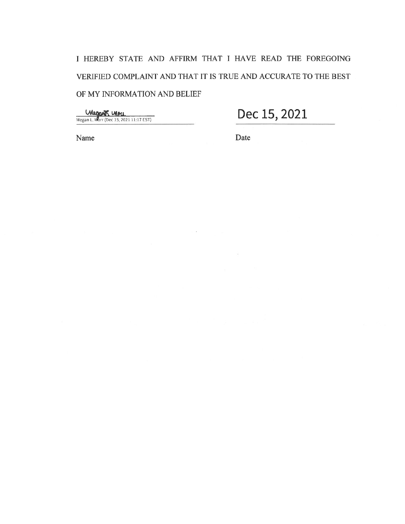**Megan L. Morr (Dec 15, 2021 11:17 EST)** 

Dec 15, 2021

Name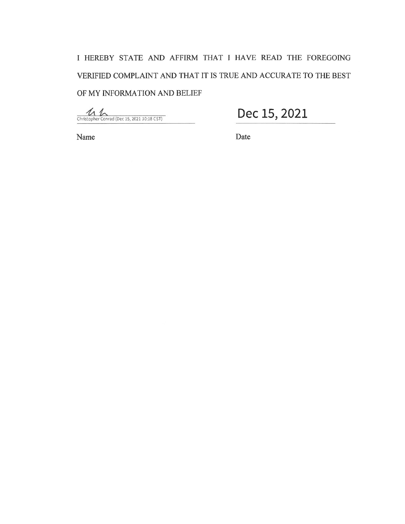$\fbox{Christopher Conrad (Dec 15, 2021 10:18 CST)}$ 

Name

Dec 15, 2021